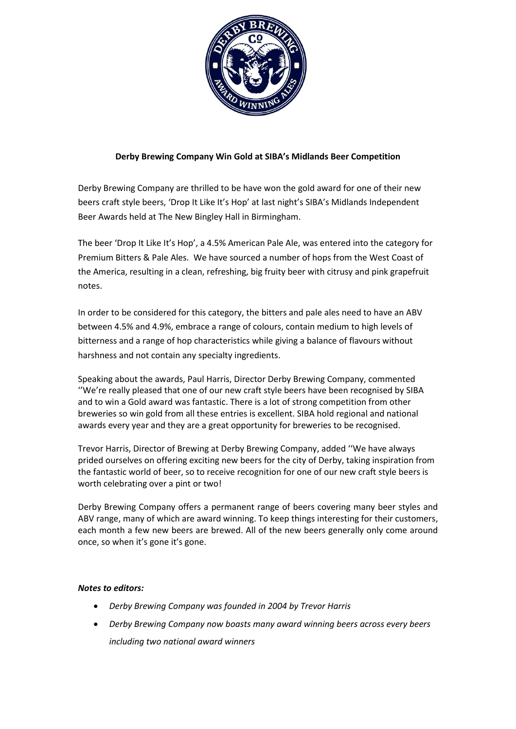

## **Derby Brewing Company Win Gold at SIBA's Midlands Beer Competition**

Derby Brewing Company are thrilled to be have won the gold award for one of their new beers craft style beers, 'Drop It Like It's Hop' at last night's SIBA's Midlands Independent Beer Awards held at The New Bingley Hall in Birmingham.

The beer 'Drop It Like It's Hop', a 4.5% American Pale Ale, was entered into the category for Premium Bitters & Pale Ales. We have sourced a number of hops from the West Coast of the America, resulting in a clean, refreshing, big fruity beer with citrusy and pink grapefruit notes.

In order to be considered for this category, the bitters and pale ales need to have an ABV between 4.5% and 4.9%, embrace a range of colours, contain medium to high levels of bitterness and a range of hop characteristics while giving a balance of flavours without harshness and not contain any specialty ingredients.

Speaking about the awards, Paul Harris, Director Derby Brewing Company, commented ''We're really pleased that one of our new craft style beers have been recognised by SIBA and to win a Gold award was fantastic. There is a lot of strong competition from other breweries so win gold from all these entries is excellent. SIBA hold regional and national awards every year and they are a great opportunity for breweries to be recognised.

Trevor Harris, Director of Brewing at Derby Brewing Company, added ''We have always prided ourselves on offering exciting new beers for the city of Derby, taking inspiration from the fantastic world of beer, so to receive recognition for one of our new craft style beers is worth celebrating over a pint or two!

Derby Brewing Company offers a permanent range of beers covering many beer styles and ABV range, many of which are award winning. To keep things interesting for their customers, each month a few new beers are brewed. All of the new beers generally only come around once, so when it's gone it's gone.

## *Notes to editors:*

- *Derby Brewing Company was founded in 2004 by Trevor Harris*
- *Derby Brewing Company now boasts many award winning beers across every beers including two national award winners*